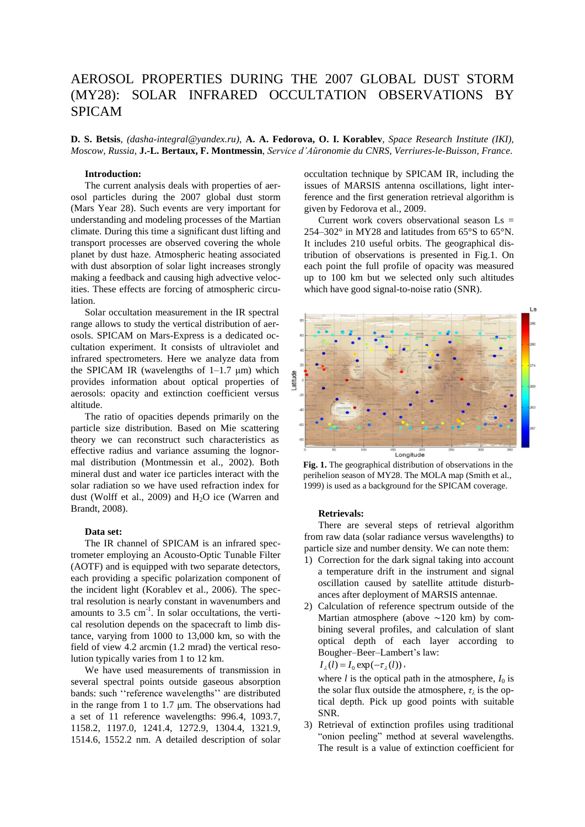# AEROSOL PROPERTIES DURING THE 2007 GLOBAL DUST STORM (MY28): SOLAR INFRARED OCCULTATION OBSERVATIONS BY SPICAM

**D. S. Betsis**, *(dasha-integral@yandex.ru)*, **A. A. Fedorova, O. I. Korablev**, *Space Research Institute (IKI), Moscow, Russia*, **J.-L. Bertaux, F. Montmessin**, *Service d'Aйronomie du CNRS, Verriиres-le-Buisson, France*.

## **Introduction:**

The current analysis deals with properties of aerosol particles during the 2007 global dust storm (Mars Year 28). Such events are very important for understanding and modeling processes of the Martian climate. During this time a significant dust lifting and transport processes are observed covering the whole planet by dust haze. Atmospheric heating associated with dust absorption of solar light increases strongly making a feedback and causing high advective velocities. These effects are forcing of atmospheric circulation.

Solar occultation measurement in the IR spectral range allows to study the vertical distribution of aerosols. SPICAM on Mars-Express is a dedicated occultation experiment. It consists of ultraviolet and infrared spectrometers. Here we analyze data from the SPICAM IR (wavelengths of  $1-1.7 \mu m$ ) which provides information about optical properties of aerosols: opacity and extinction coefficient versus altitude.

The ratio of opacities depends primarily on the particle size distribution. Based on Mie scattering theory we can reconstruct such characteristics as effective radius and variance assuming the lognormal distribution (Montmessin et al., 2002). Both mineral dust and water ice particles interact with the solar radiation so we have used refraction index for dust (Wolff et al., 2009) and  $H_2O$  ice (Warren and Brandt, 2008).

## **Data set:**

The IR channel of SPICAM is an infrared spectrometer employing an Acousto-Optic Tunable Filter (AOTF) and is equipped with two separate detectors, each providing a specific polarization component of the incident light (Korablev et al., 2006). The spectral resolution is nearly constant in wavenumbers and amounts to  $3.5 \text{ cm}^{-1}$ . In solar occultations, the vertical resolution depends on the spacecraft to limb distance, varying from 1000 to 13,000 km, so with the field of view 4.2 arcmin (1.2 mrad) the vertical resolution typically varies from 1 to 12 km.

We have used measurements of transmission in several spectral points outside gaseous absorption bands: such ''reference wavelengths'' are distributed in the range from 1 to 1.7 μm. The observations had a set of 11 reference wavelengths: 996.4, 1093.7, 1158.2, 1197.0, 1241.4, 1272.9, 1304.4, 1321.9, 1514.6, 1552.2 nm. A detailed description of solar occultation technique by SPICAM IR, including the issues of MARSIS antenna oscillations, light interference and the first generation retrieval algorithm is given by Fedorova et al., 2009.

Current work covers observational season  $\text{Ls} =$ 254–302° in MY28 and latitudes from 65°S to 65°N. It includes 210 useful orbits. The geographical distribution of observations is presented in Fig.1. On each point the full profile of opacity was measured up to 100 km but we selected only such altitudes which have good signal-to-noise ratio (SNR).



**Fig. 1.** The geographical distribution of observations in the perihelion season of MY28. The MOLA map (Smith et al., 1999) is used as a background for the SPICAM coverage.

# **Retrievals:**

There are several steps of retrieval algorithm from raw data (solar radiance versus wavelengths) to particle size and number density. We can note them:

- 1) Correction for the dark signal taking into account a temperature drift in the instrument and signal oscillation caused by satellite attitude disturbances after deployment of MARSIS antennae.
- 2) Calculation of reference spectrum outside of the Martian atmosphere (above ∼120 km) by combining several profiles, and calculation of slant optical depth of each layer according to Bougher–Beer–Lambert's law:<br> $I(T) = I \exp(-\tau / I)$ .

$$
I_{\lambda}(l) = I_0 \exp(-\tau_{\lambda}(l)),
$$

where *l* is the optical path in the atmosphere,  $I_0$  is the solar flux outside the atmosphere,  $\tau_{\lambda}$  is the optical depth. Pick up good points with suitable SNR.

3) Retrieval of extinction profiles using traditional "onion peeling" method at several wavelengths. The result is a value of extinction coefficient for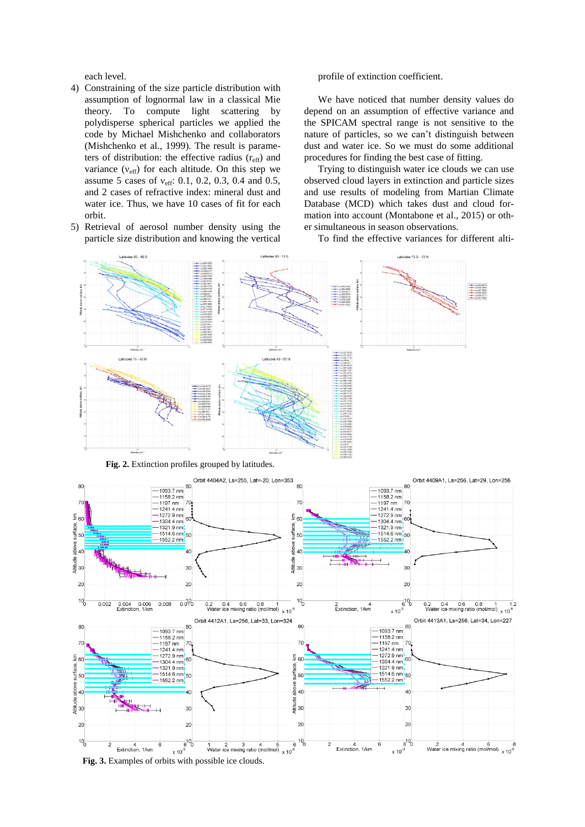each level.

- 4) Constraining of the size particle distribution with assumption of lognormal law in a classical Mie theory. To compute light scattering by polydisperse spherical particles we applied the code by Michael Mishchenko and collaborators (Mishchenko et al., 1999). The result is parameters of distribution: the effective radius  $(r_{\text{eff}})$  and variance  $(v_{\text{eff}})$  for each altitude. On this step we assume 5 cases of  $v_{\text{eff}}$ : 0.1, 0.2, 0.3, 0.4 and 0.5, and 2 cases of refractive index: mineral dust and water ice. Thus, we have 10 cases of fit for each orbit.
- 5) Retrieval of aerosol number density using the particle size distribution and knowing the vertical

profile of extinction coefficient.

We have noticed that number density values do depend on an assumption of effective variance and the SPICAM spectral range is not sensitive to the nature of particles, so we can't distinguish between dust and water ice. So we must do some additional procedures for finding the best case of fitting.

Trying to distinguish water ice clouds we can use observed cloud layers in extinction and particle sizes and use results of modeling from Martian Climate Database (MCD) which takes dust and cloud formation into account (Montabone et al., 2015) or other simultaneous in season observations.

To find the effective variances for different alti-

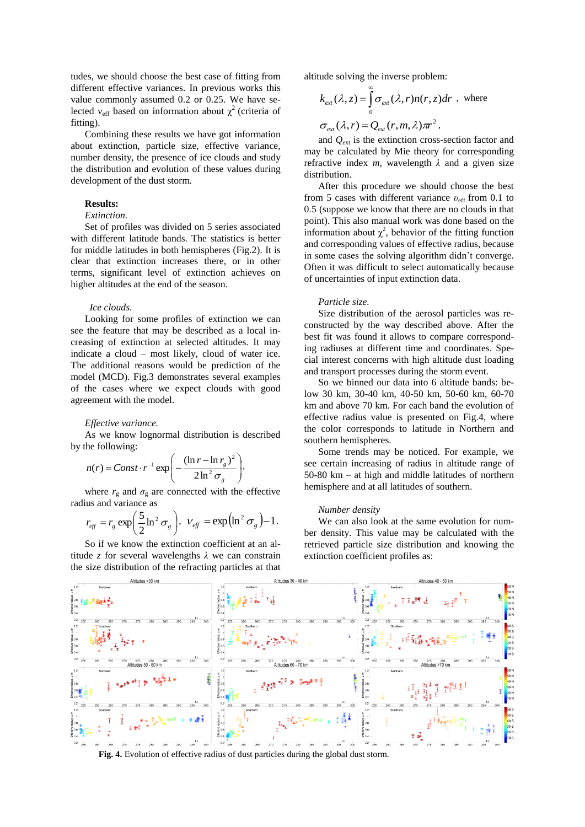tudes, we should choose the best case of fitting from different effective variances. In previous works this value commonly assumed 0.2 or 0.25. We have selected  $v_{\text{eff}}$  based on information about  $\chi^2$  (criteria of fitting).

Combining these results we have got information about extinction, particle size, effective variance, number density, the presence of ice clouds and study the distribution and evolution of these values during development of the dust storm.

## **Results:**

# *Extinction.*

Set of profiles was divided on 5 series associated with different latitude bands. The statistics is better for middle latitudes in both hemispheres (Fig.2). It is clear that extinction increases there, or in other terms, significant level of extinction achieves on higher altitudes at the end of the season.

#### *Ice clouds.*

Looking for some profiles of extinction we can see the feature that may be described as a local increasing of extinction at selected altitudes. It may indicate a cloud – most likely, cloud of water ice. The additional reasons would be prediction of the model (MCD). Fig.3 demonstrates several examples of the cases where we expect clouds with good agreement with the model.

#### *Effective variance.*

As we know lognormal distribution is described by the following:

$$
n(r) = Const \cdot r^{-1} \exp\left(-\frac{(\ln r - \ln r_g)^2}{2\ln^2 \sigma_g}\right),
$$

where  $r_g$  and  $\sigma_g$  are connected with the effective radius and variance as

$$
r_{\text{eff}} = r_{\text{g}} \exp\left(\frac{5}{2}\ln^2 \sigma_{\text{g}}\right), \ \ v_{\text{eff}} = \exp\left(\ln^2 \sigma_{\text{g}}\right) - 1.
$$

So if we know the extinction coefficient at an altitude *z* for several wavelengths *λ* we can constrain the size distribution of the refracting particles at that

altitude solving the inverse problem:

$$
k_{ext}(\lambda, z) = \int_{0}^{\infty} \sigma_{ext}(\lambda, r) n(r, z) dr
$$
, where  

$$
\sigma_{ext}(\lambda, r) = Q_{ext}(r, m, \lambda) \pi r^{2},
$$

and *Q*ext is the extinction cross-section factor and may be calculated by Mie theory for corresponding refractive index  $m$ , wavelength  $\lambda$  and a given size distribution.

After this procedure we should choose the best from 5 cases with different variance *υ*eff from 0.1 to 0.5 (suppose we know that there are no clouds in that point). This also manual work was done based on the information about  $\chi^2$ , behavior of the fitting function and corresponding values of effective radius, because in some cases the solving algorithm didn't converge. Often it was difficult to select automatically because of uncertainties of input extinction data.

#### *Particle size.*

Size distribution of the aerosol particles was reconstructed by the way described above. After the best fit was found it allows to compare corresponding radiuses at different time and coordinates. Special interest concerns with high altitude dust loading and transport processes during the storm event.

So we binned our data into 6 altitude bands: below 30 km, 30-40 km, 40-50 km, 50-60 km, 60-70 km and above 70 km. For each band the evolution of effective radius value is presented on Fig.4, where the color corresponds to latitude in Northern and southern hemispheres.

Some trends may be noticed. For example, we see certain increasing of radius in altitude range of 50-80 km – at high and middle latitudes of northern hemisphere and at all latitudes of southern.

#### *Number density*

We can also look at the same evolution for number density. This value may be calculated with the retrieved particle size distribution and knowing the extinction coefficient profiles as:



**Fig. 4.** Evolution of effective radius of dust particles during the global dust storm.